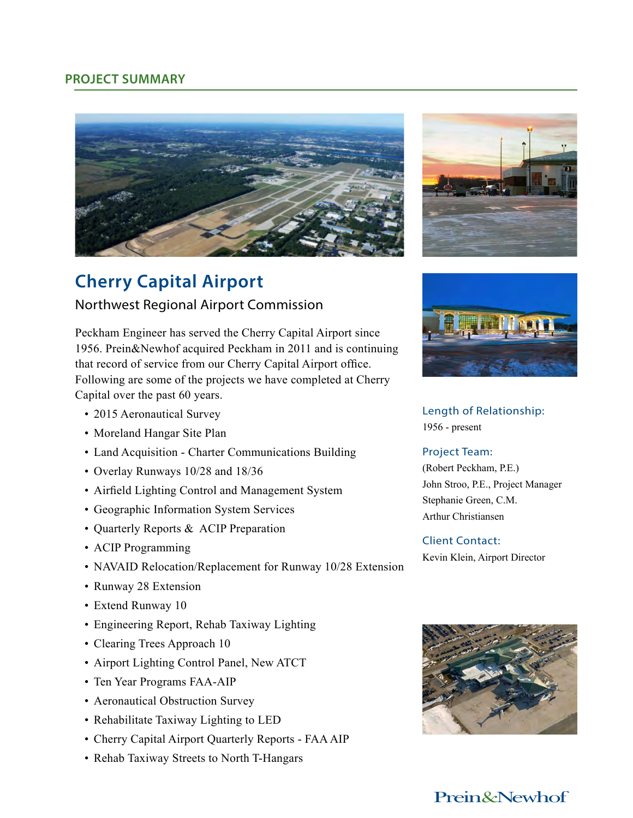## **PROJECT SUMMARY**





# **Cherry Capital Airport**

## Northwest Regional Airport Commission

Peckham Engineer has served the Cherry Capital Airport since 1956. Prein&Newhof acquired Peckham in 2011 and is continuing that record of service from our Cherry Capital Airport office. Following are some of the projects we have completed at Cherry Capital over the past 60 years.

- 2015 Aeronautical Survey
- Moreland Hangar Site Plan
- Land Acquisition Charter Communications Building
- Overlay Runways 10/28 and 18/36
- Airfield Lighting Control and Management System
- Geographic Information System Services
- Quarterly Reports & ACIP Preparation
- ACIP Programming
- NAVAID Relocation/Replacement for Runway 10/28 Extension
- Runway 28 Extension
- Extend Runway 10
- Engineering Report, Rehab Taxiway Lighting
- Clearing Trees Approach 10
- Airport Lighting Control Panel, New ATCT
- Ten Year Programs FAA-AIP
- Aeronautical Obstruction Survey
- Rehabilitate Taxiway Lighting to LED
- Cherry Capital Airport Quarterly Reports FAA AIP
- Rehab Taxiway Streets to North T-Hangars



Length of Relationship: 1956 - present

#### Project Team:

(Robert Peckham, P.E.) John Stroo, P.E., Project Manager Stephanie Green, C.M. Arthur Christiansen

### Client Contact: Kevin Klein, Airport Director



## Prein&Newhof